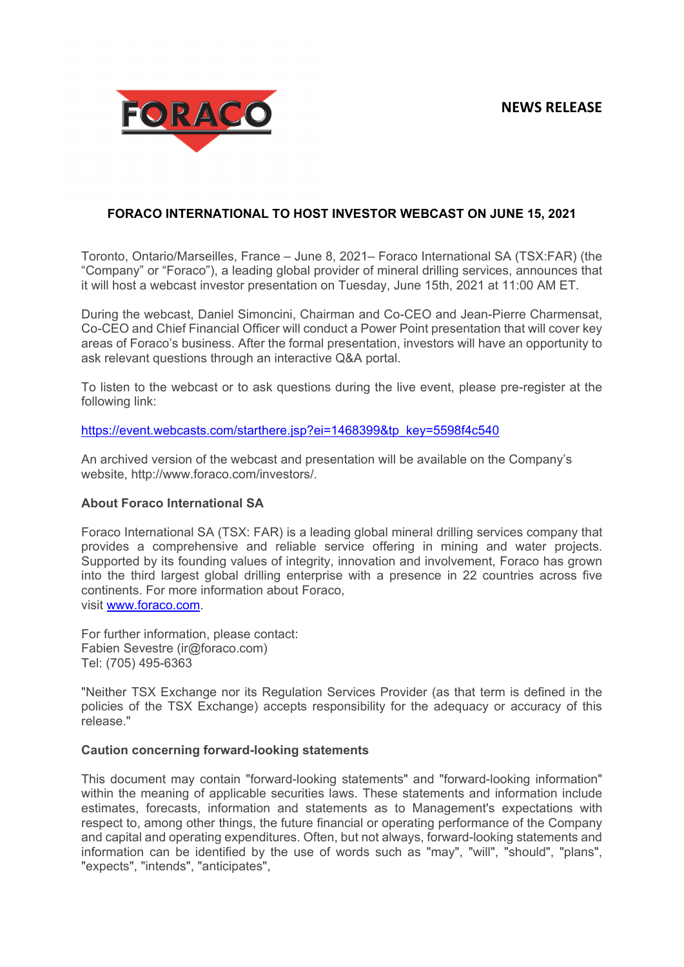

## **FORACO INTERNATIONAL TO HOST INVESTOR WEBCAST ON JUNE 15, 2021**

Toronto, Ontario/Marseilles, France – June 8, 2021– Foraco International SA (TSX:FAR) (the "Company" or "Foraco"), a leading global provider of mineral drilling services, announces that it will host a webcast investor presentation on Tuesday, June 15th, 2021 at 11:00 AM ET.

During the webcast, Daniel Simoncini, Chairman and Co-CEO and Jean-Pierre Charmensat, Co-CEO and Chief Financial Officer will conduct a Power Point presentation that will cover key areas of Foraco's business. After the formal presentation, investors will have an opportunity to ask relevant questions through an interactive Q&A portal.

To listen to the webcast or to ask questions during the live event, please pre-register at the following link:

https://event.webcasts.com/starthere.jsp?ei=1468399&tp\_key=5598f4c540

An archived version of the webcast and presentation will be available on the Company's website, http://www.foraco.com/investors/.

## **About Foraco International SA**

Foraco International SA (TSX: FAR) is a leading global mineral drilling services company that provides a comprehensive and reliable service offering in mining and water projects. Supported by its founding values of integrity, innovation and involvement, Foraco has grown into the third largest global drilling enterprise with a presence in 22 countries across five continents. For more information about Foraco, visit www.foraco.com.

For further information, please contact: Fabien Sevestre (ir@foraco.com) Tel: (705) 495-6363

"Neither TSX Exchange nor its Regulation Services Provider (as that term is defined in the policies of the TSX Exchange) accepts responsibility for the adequacy or accuracy of this release."

## **Caution concerning forward-looking statements**

This document may contain "forward-looking statements" and "forward-looking information" within the meaning of applicable securities laws. These statements and information include estimates, forecasts, information and statements as to Management's expectations with respect to, among other things, the future financial or operating performance of the Company and capital and operating expenditures. Often, but not always, forward-looking statements and information can be identified by the use of words such as "may", "will", "should", "plans", "expects", "intends", "anticipates",